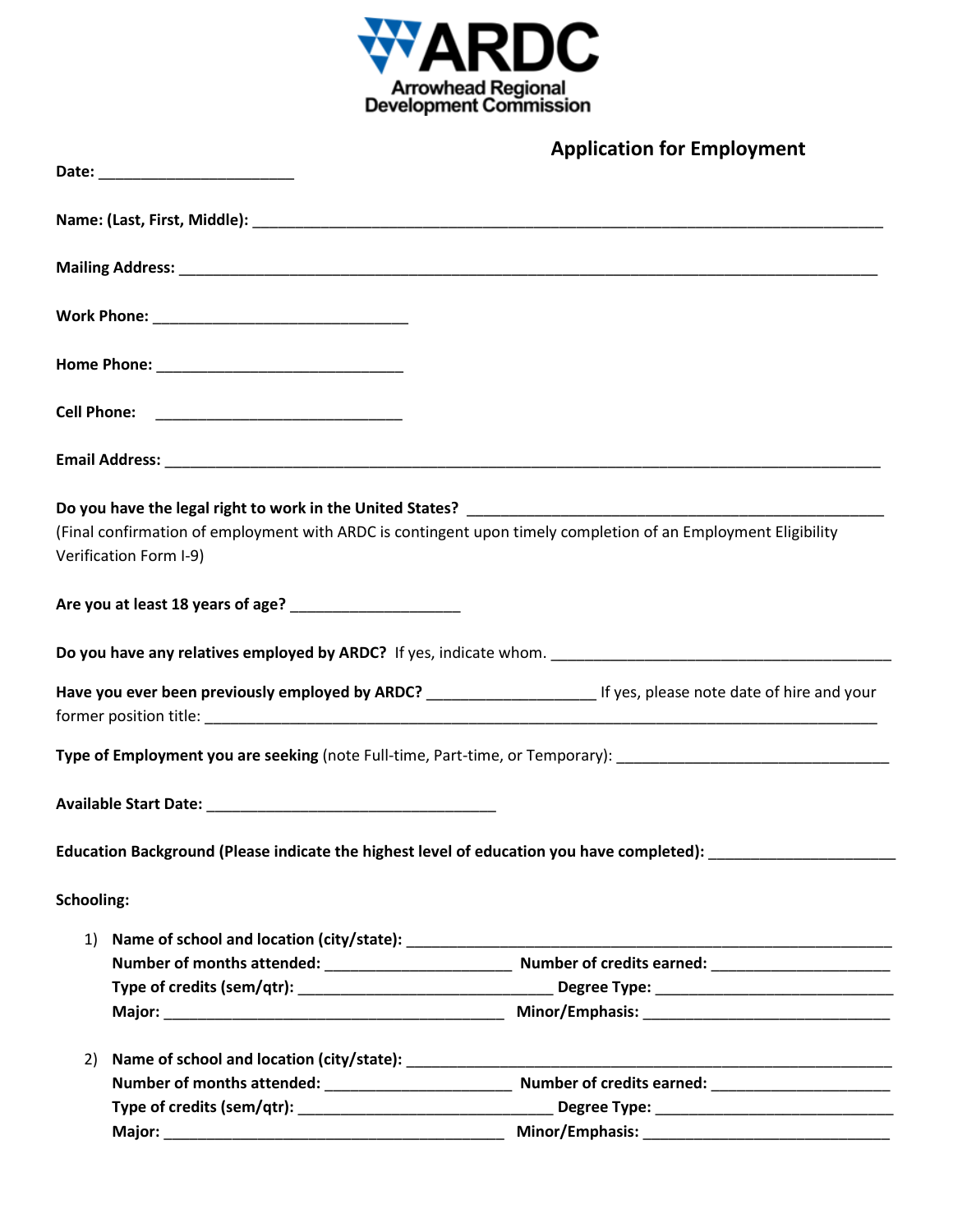

|                   |                        | <b>Application for Employment</b>                                                                                           |
|-------------------|------------------------|-----------------------------------------------------------------------------------------------------------------------------|
|                   |                        |                                                                                                                             |
|                   |                        |                                                                                                                             |
|                   |                        |                                                                                                                             |
|                   |                        |                                                                                                                             |
|                   |                        |                                                                                                                             |
|                   |                        |                                                                                                                             |
|                   |                        |                                                                                                                             |
|                   |                        |                                                                                                                             |
|                   |                        | (Final confirmation of employment with ARDC is contingent upon timely completion of an Employment Eligibility               |
|                   | Verification Form I-9) |                                                                                                                             |
|                   |                        |                                                                                                                             |
|                   |                        |                                                                                                                             |
|                   |                        | Have you ever been previously employed by ARDC? _________________________________ If yes, please note date of hire and your |
|                   |                        |                                                                                                                             |
|                   |                        | Type of Employment you are seeking (note Full-time, Part-time, or Temporary): ________________________________              |
|                   |                        |                                                                                                                             |
|                   |                        | Education Background (Please indicate the highest level of education you have completed):                                   |
| <b>Schooling:</b> |                        |                                                                                                                             |
| 1)                |                        |                                                                                                                             |
|                   |                        |                                                                                                                             |
|                   |                        |                                                                                                                             |
|                   |                        |                                                                                                                             |
| 2)                |                        |                                                                                                                             |
|                   |                        |                                                                                                                             |
|                   |                        |                                                                                                                             |
|                   |                        |                                                                                                                             |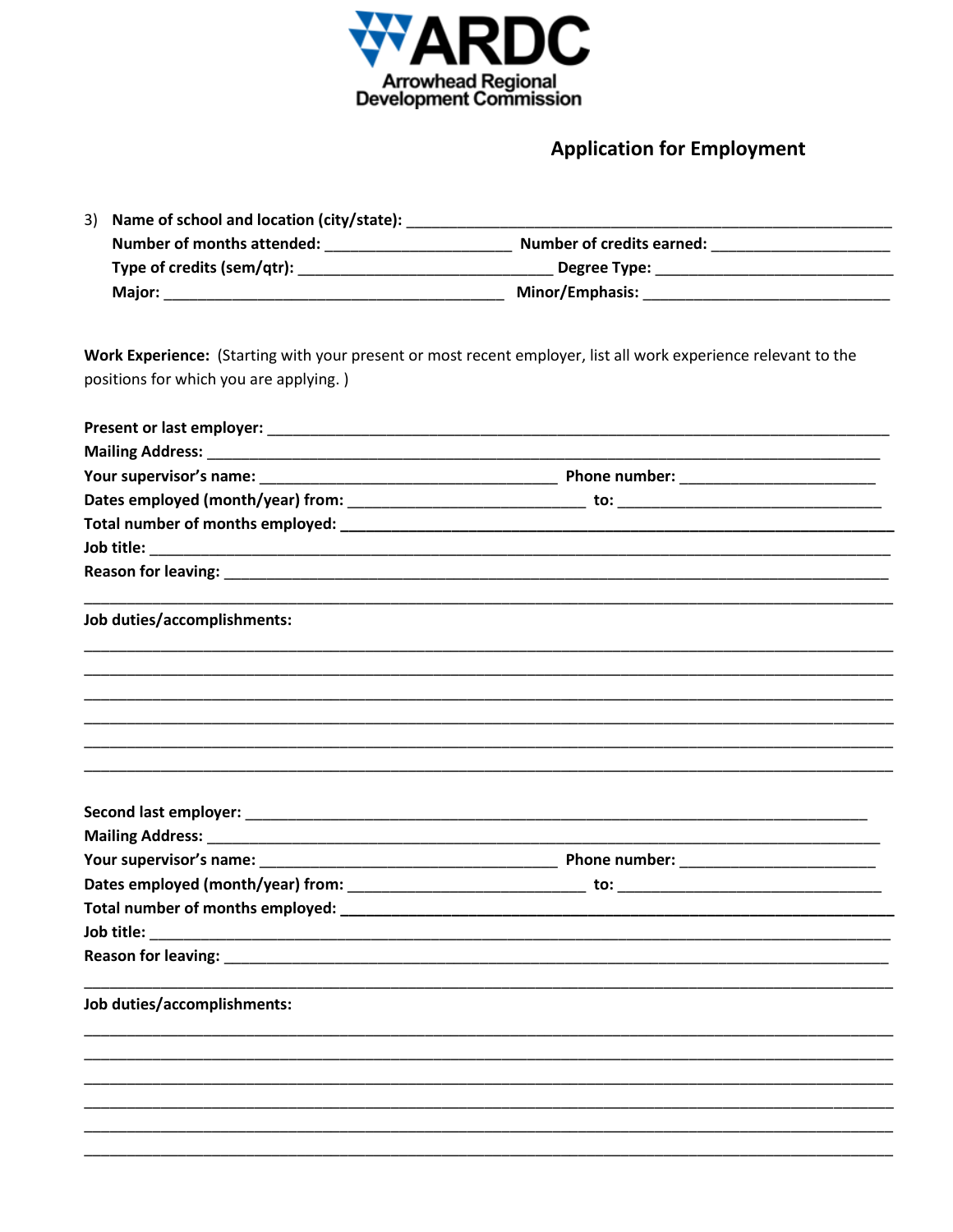

## **Application for Employment**

| 3) Name of school and location (city/state): |                                  |  |
|----------------------------------------------|----------------------------------|--|
| Number of months attended:                   | <b>Number of credits earned:</b> |  |
| Type of credits (sem/qtr):                   | Degree Type:                     |  |
| <b>Major:</b>                                | <b>Minor/Emphasis:</b>           |  |

Work Experience: (Starting with your present or most recent employer, list all work experience relevant to the positions for which you are applying.)

| Job duties/accomplishments: |  |
|-----------------------------|--|
|                             |  |
|                             |  |
|                             |  |
|                             |  |
|                             |  |
|                             |  |
|                             |  |
|                             |  |
|                             |  |
|                             |  |
| Job duties/accomplishments: |  |
|                             |  |
|                             |  |
|                             |  |
|                             |  |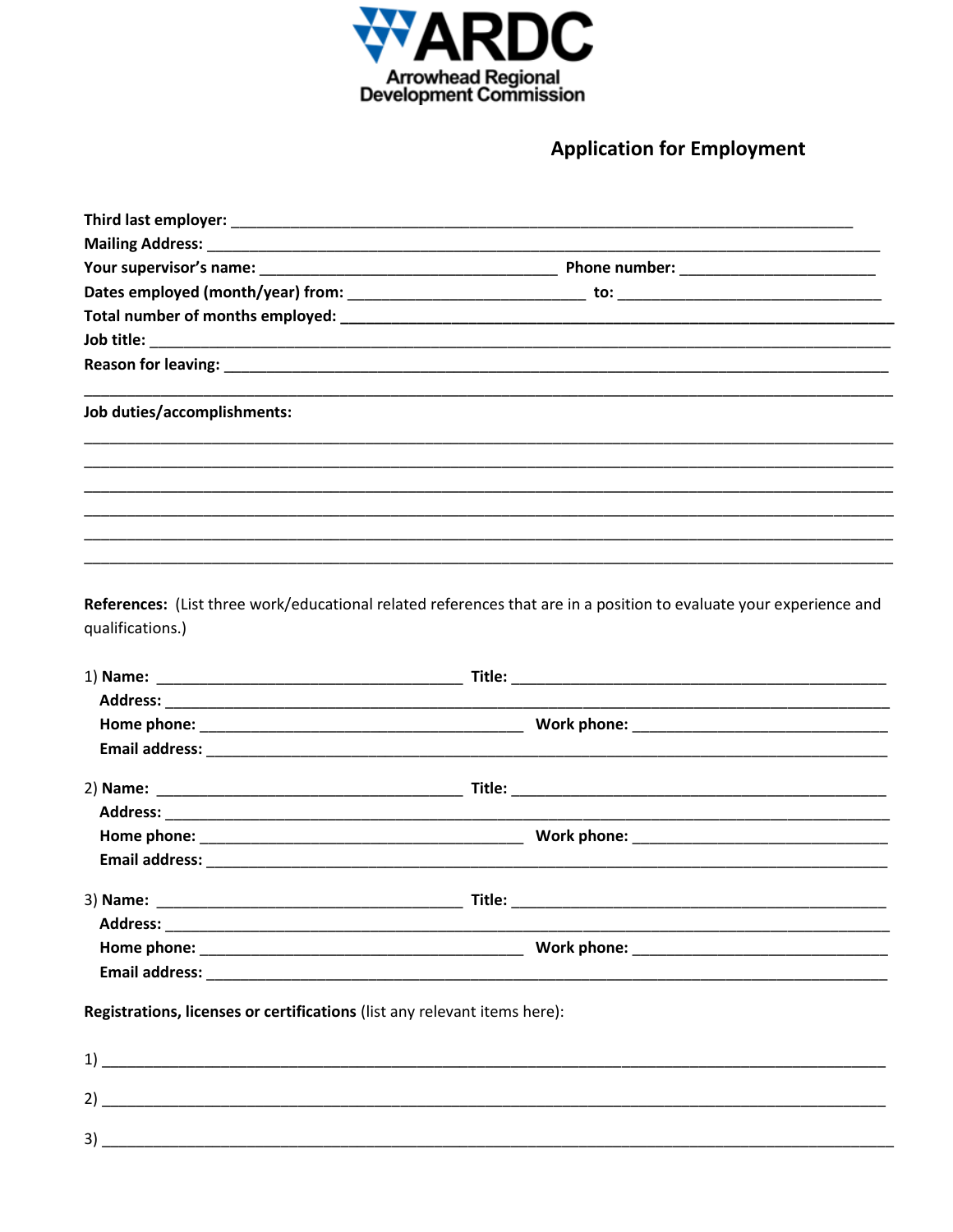

**Application for Employment** 

| Job duties/accomplishments:                                               |                                                                                                                    |
|---------------------------------------------------------------------------|--------------------------------------------------------------------------------------------------------------------|
|                                                                           | ,我们也不能会有什么。""我们的人,我们也不能会有什么?""我们的人,我们也不能会有什么?""我们的人,我们也不能会有什么?""我们的人,我们也不能会有什么?""                                  |
|                                                                           |                                                                                                                    |
|                                                                           |                                                                                                                    |
|                                                                           | ,我们也不能在这里的时候,我们也不能在这里的时候,我们也不能会在这里,我们也不能会在这里,我们也不能会在这里的时候,我们也不能会在这里,我们也不能会不能会不能会                                   |
| qualifications.)                                                          | References: (List three work/educational related references that are in a position to evaluate your experience and |
|                                                                           |                                                                                                                    |
|                                                                           |                                                                                                                    |
|                                                                           |                                                                                                                    |
|                                                                           |                                                                                                                    |
|                                                                           |                                                                                                                    |
|                                                                           |                                                                                                                    |
|                                                                           |                                                                                                                    |
|                                                                           |                                                                                                                    |
|                                                                           | Title:                                                                                                             |
|                                                                           |                                                                                                                    |
|                                                                           |                                                                                                                    |
|                                                                           |                                                                                                                    |
| Registrations, licenses or certifications (list any relevant items here): |                                                                                                                    |
|                                                                           |                                                                                                                    |
|                                                                           |                                                                                                                    |
| 3)                                                                        |                                                                                                                    |